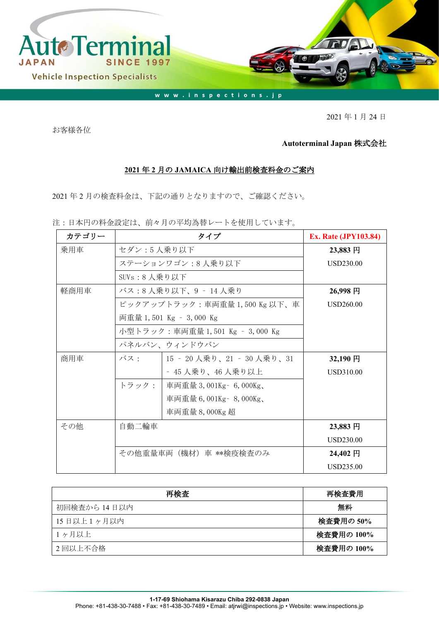

2021 年 1 月 24 日

お客様各位

## **Autoterminal Japan** 株式会社

## **2021** 年 **2** 月の **JAMAICA** 向け輸出前検査料金のご案内

2021 年 2 月の検査料金は、下記の通りとなりますので、ご確認ください。

注:日本円の料金設定は、前々月の平均為替レートを使用しています。

| カテゴリー | タイプ                           |                                 | <b>Ex. Rate (JPY103.84)</b> |
|-------|-------------------------------|---------------------------------|-----------------------------|
| 乗用車   | セダン:5人乗り以下                    | 23,883 円                        |                             |
|       | ステーションワゴン:8人乗り以下              | USD230.00                       |                             |
|       | SUVs:8 人乗り以下                  |                                 |                             |
| 軽商用車  |                               | バス:8 人乗り以下、9 ‐ 14 人乗り           | 26,998円                     |
|       | ピックアップトラック:車両重量 1,500 Kg 以下、車 | <b>USD260.00</b>                |                             |
|       | 両重量 1,501 Kg – 3,000 Kg       |                                 |                             |
|       |                               | 小型トラック:車両重量 1,501 Kg – 3,000 Kg |                             |
|       |                               | パネルバン、ウィンドウバン                   |                             |
| 商用車   | バス・                           | 15 - 20 人乗り、21 - 30 人乗り、31      | 32,190円                     |
|       |                               | - 45 人乗り、46 人乗り以上               | USD310.00                   |
|       | トラック:                         | 車両重量 3,001Kg - 6,000Kg、         |                             |
|       |                               | 車両重量 6,001Kg - 8,000Kg、         |                             |
|       |                               | 車両重量 8,000Kg 超                  |                             |
| その他   | 自動二輪車                         |                                 | 23,883 円                    |
|       |                               |                                 | USD230.00                   |
|       | その他重量車両(機材)車 **検疫検査のみ         |                                 | 24,402 円                    |
|       |                               |                                 | USD235.00                   |

| 再検査          | 再検査費用      |
|--------------|------------|
| 初回検査から 14日以内 | 無料         |
| 15日以上1ヶ月以内   | 検査費用の 50%  |
| 1ヶ月以上        | 検査費用の 100% |
| 2回以上不合格      | 検査費用の 100% |